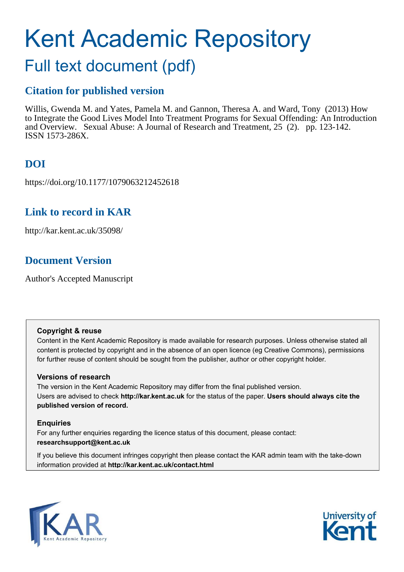# Kent Academic Repository

# Full text document (pdf)

## **Citation for published version**

Willis, Gwenda M. and Yates, Pamela M. and Gannon, Theresa A. and Ward, Tony (2013) How to Integrate the Good Lives Model Into Treatment Programs for Sexual Offending: An Introduction and Overview. Sexual Abuse: A Journal of Research and Treatment, 25 (2). pp. 123-142. ISSN 1573-286X.

## **DOI**

https://doi.org/10.1177/1079063212452618

## **Link to record in KAR**

http://kar.kent.ac.uk/35098/

## **Document Version**

Author's Accepted Manuscript

#### **Copyright & reuse**

Content in the Kent Academic Repository is made available for research purposes. Unless otherwise stated all content is protected by copyright and in the absence of an open licence (eg Creative Commons), permissions for further reuse of content should be sought from the publisher, author or other copyright holder.

#### **Versions of research**

The version in the Kent Academic Repository may differ from the final published version. Users are advised to check **http://kar.kent.ac.uk** for the status of the paper. **Users should always cite the published version of record.**

#### **Enquiries**

For any further enquiries regarding the licence status of this document, please contact: **researchsupport@kent.ac.uk**

If you believe this document infringes copyright then please contact the KAR admin team with the take-down information provided at **http://kar.kent.ac.uk/contact.html**



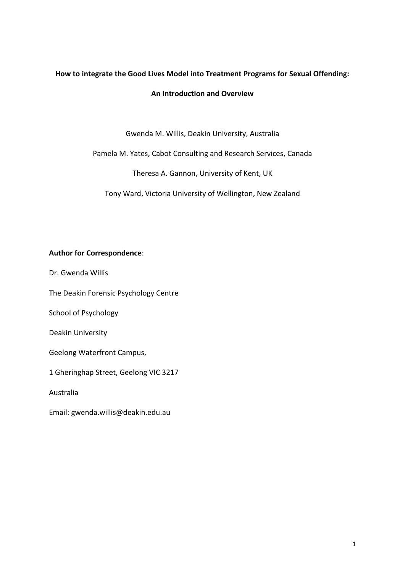## **How to integrate the Good Lives Model into Treatment Programs for Sexual Offending:**

#### **An Introduction and Overview**

Gwenda M. Willis, Deakin University, Australia

Pamela M. Yates, Cabot Consulting and Research Services, Canada

Theresa A. Gannon, University of Kent, UK

Tony Ward, Victoria University of Wellington, New Zealand

#### **Author for Correspondence**:

Dr. Gwenda Willis

The Deakin Forensic Psychology Centre

School of Psychology

Deakin University

Geelong Waterfront Campus,

1 Gheringhap Street, Geelong VIC 3217

Australia

Email: gwenda.willis@deakin.edu.au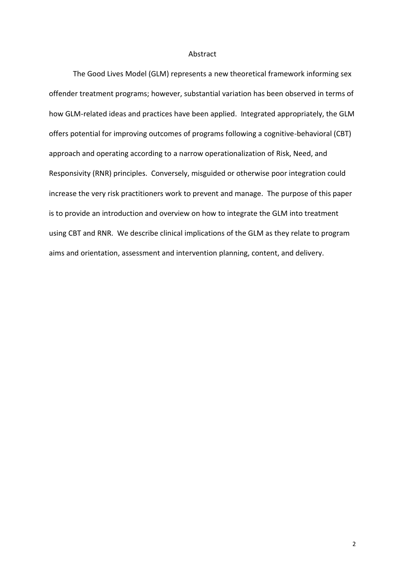#### Abstract

The Good Lives Model (GLM) represents a new theoretical framework informing sex offender treatment programs; however, substantial variation has been observed in terms of how GLM-related ideas and practices have been applied. Integrated appropriately, the GLM offers potential for improving outcomes of programs following a cognitive-behavioral (CBT) approach and operating according to a narrow operationalization of Risk, Need, and Responsivity (RNR) principles. Conversely, misguided or otherwise poor integration could increase the very risk practitioners work to prevent and manage. The purpose of this paper is to provide an introduction and overview on how to integrate the GLM into treatment using CBT and RNR. We describe clinical implications of the GLM as they relate to program aims and orientation, assessment and intervention planning, content, and delivery.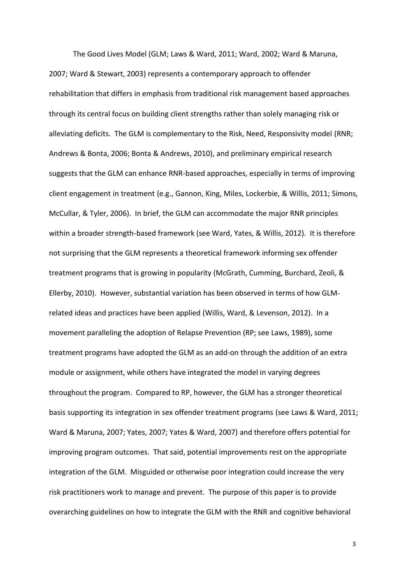The Good Lives Model (GLM; Laws & Ward, 2011; Ward, 2002; Ward & Maruna, 2007; Ward & Stewart, 2003) represents a contemporary approach to offender rehabilitation that differs in emphasis from traditional risk management based approaches through its central focus on building client strengths rather than solely managing risk or alleviating deficits. The GLM is complementary to the Risk, Need, Responsivity model (RNR; Andrews & Bonta, 2006; Bonta & Andrews, 2010), and preliminary empirical research suggests that the GLM can enhance RNR-based approaches, especially in terms of improving client engagement in treatment (e.g., Gannon, King, Miles, Lockerbie, & Willis, 2011; Simons, McCullar, & Tyler, 2006). In brief, the GLM can accommodate the major RNR principles within a broader strength-based framework (see Ward, Yates, & Willis, 2012). It is therefore not surprising that the GLM represents a theoretical framework informing sex offender treatment programs that is growing in popularity (McGrath, Cumming, Burchard, Zeoli, & Ellerby, 2010). However, substantial variation has been observed in terms of how GLMrelated ideas and practices have been applied (Willis, Ward, & Levenson, 2012). In a movement paralleling the adoption of Relapse Prevention (RP; see Laws, 1989), some treatment programs have adopted the GLM as an add-on through the addition of an extra module or assignment, while others have integrated the model in varying degrees throughout the program. Compared to RP, however, the GLM has a stronger theoretical basis supporting its integration in sex offender treatment programs (see Laws & Ward, 2011; Ward & Maruna, 2007; Yates, 2007; Yates & Ward, 2007) and therefore offers potential for improving program outcomes. That said, potential improvements rest on the appropriate integration of the GLM. Misguided or otherwise poor integration could increase the very risk practitioners work to manage and prevent. The purpose of this paper is to provide overarching guidelines on how to integrate the GLM with the RNR and cognitive behavioral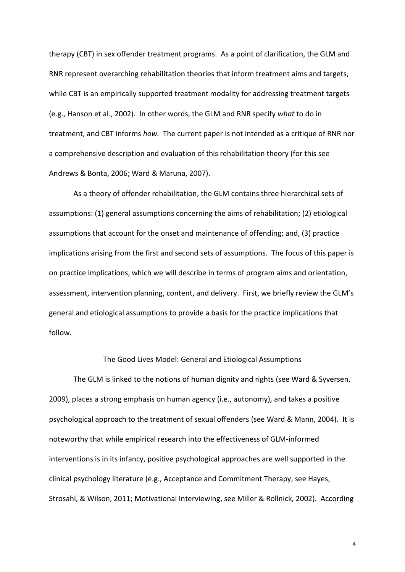therapy (CBT) in sex offender treatment programs. As a point of clarification, the GLM and RNR represent overarching rehabilitation theories that inform treatment aims and targets, while CBT is an empirically supported treatment modality for addressing treatment targets (e.g., Hanson et al., 2002). In other words, the GLM and RNR specify *what* to do in treatment, and CBT informs *how.* The current paper is not intended as a critique of RNR nor a comprehensive description and evaluation of this rehabilitation theory (for this see Andrews & Bonta, 2006; Ward & Maruna, 2007).

 As a theory of offender rehabilitation, the GLM contains three hierarchical sets of assumptions: (1) general assumptions concerning the aims of rehabilitation; (2) etiological assumptions that account for the onset and maintenance of offending; and, (3) practice implications arising from the first and second sets of assumptions. The focus of this paper is on practice implications, which we will describe in terms of program aims and orientation, assessment, intervention planning, content, and delivery. First, we briefly review the GLM's general and etiological assumptions to provide a basis for the practice implications that follow.

#### The Good Lives Model: General and Etiological Assumptions

The GLM is linked to the notions of human dignity and rights (see Ward & Syversen, 2009), places a strong emphasis on human agency (i.e., autonomy), and takes a positive psychological approach to the treatment of sexual offenders (see Ward & Mann, 2004). It is noteworthy that while empirical research into the effectiveness of GLM-informed interventions is in its infancy, positive psychological approaches are well supported in the clinical psychology literature (e.g., Acceptance and Commitment Therapy, see Hayes, Strosahl, & Wilson, 2011; Motivational Interviewing, see Miller & Rollnick, 2002). According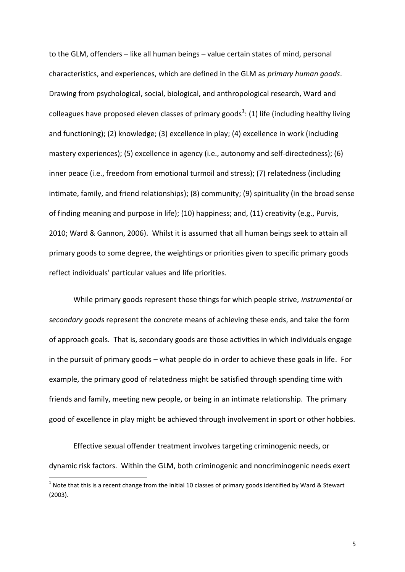to the GLM, offenders - like all human beings - value certain states of mind, personal characteristics, and experiences, which are defined in the GLM as *primary human goods*. Drawing from psychological, social, biological, and anthropological research, Ward and colleagues have proposed eleven classes of primary goods<sup>1</sup>: (1) life (including healthy living and functioning); (2) knowledge; (3) excellence in play; (4) excellence in work (including mastery experiences); (5) excellence in agency (i.e., autonomy and self-directedness); (6) inner peace (i.e., freedom from emotional turmoil and stress); (7) relatedness (including intimate, family, and friend relationships); (8) community; (9) spirituality (in the broad sense of finding meaning and purpose in life); (10) happiness; and, (11) creativity (e.g., Purvis, 2010; Ward & Gannon, 2006). Whilst it is assumed that all human beings seek to attain all primary goods to some degree, the weightings or priorities given to specific primary goods reflect individuals' particular values and life priorities.

While primary goods represent those things for which people strive, *instrumental* or *secondary goods* represent the concrete means of achieving these ends, and take the form of approach goals. That is, secondary goods are those activities in which individuals engage in the pursuit of primary goods - what people do in order to achieve these goals in life. For example, the primary good of relatedness might be satisfied through spending time with friends and family, meeting new people, or being in an intimate relationship. The primary good of excellence in play might be achieved through involvement in sport or other hobbies.

Effective sexual offender treatment involves targeting criminogenic needs, or dynamic risk factors. Within the GLM, both criminogenic and noncriminogenic needs exert

.<br>-

<sup>&</sup>lt;sup>1</sup> Note that this is a recent change from the initial 10 classes of primary goods identified by Ward & Stewart (2003).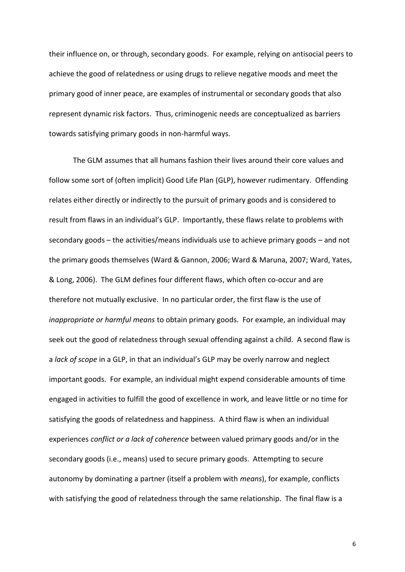their influence on, or through, secondary goods. For example, relying on antisocial peers to achieve the good of relatedness or using drugs to relieve negative moods and meet the primary good of inner peace, are examples of instrumental or secondary goods that also represent dynamic risk factors. Thus, criminogenic needs are conceptualized as barriers towards satisfying primary goods in non-harmful ways.

The GLM assumes that all humans fashion their lives around their core values and follow some sort of (often implicit) Good Life Plan (GLP), however rudimentary. Offending relates either directly or indirectly to the pursuit of primary goods and is considered to result from flaws in an individual's GLP. Importantly, these flaws relate to problems with secondary goods - the activities/means individuals use to achieve primary goods - and not the primary goods themselves (Ward & Gannon, 2006; Ward & Maruna, 2007; Ward, Yates, & Long, 2006). The GLM defines four different flaws, which often co-occur and are therefore not mutually exclusive. In no particular order, the first flaw is the use of *inappropriate or harmful means* to obtain primary goods. For example, an individual may seek out the good of relatedness through sexual offending against a child. A second flaw is a *lack of scope* in a GLP, in that an individual's GLP may be overly narrow and neglect important goods. For example, an individual might expend considerable amounts of time engaged in activities to fulfill the good of excellence in work, and leave little or no time for satisfying the goods of relatedness and happiness. A third flaw is when an individual experiences *conflict or a lack of coherence* between valued primary goods and/or in the secondary goods (i.e., means) used to secure primary goods. Attempting to secure autonomy by dominating a partner (itself a problem with *means*), for example, conflicts with satisfying the good of relatedness through the same relationship. The final flaw is a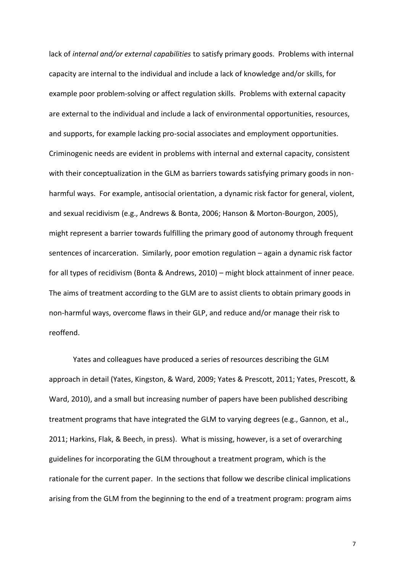lack of *internal and/or external capabilities* to satisfy primary goods. Problems with internal capacity are internal to the individual and include a lack of knowledge and/or skills, for example poor problem-solving or affect regulation skills. Problems with external capacity are external to the individual and include a lack of environmental opportunities, resources, and supports, for example lacking pro-social associates and employment opportunities. Criminogenic needs are evident in problems with internal and external capacity, consistent with their conceptualization in the GLM as barriers towards satisfying primary goods in nonharmful ways. For example, antisocial orientation, a dynamic risk factor for general, violent, and sexual recidivism (e.g., Andrews & Bonta, 2006; Hanson & Morton-Bourgon, 2005), might represent a barrier towards fulfilling the primary good of autonomy through frequent sentences of incarceration. Similarly, poor emotion regulation – again a dynamic risk factor for all types of recidivism (Bonta & Andrews, 2010) – might block attainment of inner peace. The aims of treatment according to the GLM are to assist clients to obtain primary goods in non-harmful ways, overcome flaws in their GLP, and reduce and/or manage their risk to reoffend.

Yates and colleagues have produced a series of resources describing the GLM approach in detail (Yates, Kingston, & Ward, 2009; Yates & Prescott, 2011; Yates, Prescott, & Ward, 2010), and a small but increasing number of papers have been published describing treatment programs that have integrated the GLM to varying degrees (e.g., Gannon, et al., 2011; Harkins, Flak, & Beech, in press). What is missing, however, is a set of overarching guidelines for incorporating the GLM throughout a treatment program, which is the rationale for the current paper. In the sections that follow we describe clinical implications arising from the GLM from the beginning to the end of a treatment program: program aims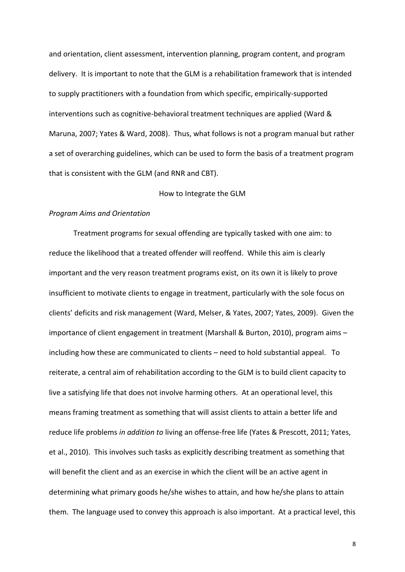and orientation, client assessment, intervention planning, program content, and program delivery. It is important to note that the GLM is a rehabilitation framework that is intended to supply practitioners with a foundation from which specific, empirically-supported interventions such as cognitive-behavioral treatment techniques are applied (Ward & Maruna, 2007; Yates & Ward, 2008). Thus, what follows is not a program manual but rather a set of overarching guidelines, which can be used to form the basis of a treatment program that is consistent with the GLM (and RNR and CBT).

#### How to Integrate the GLM

#### *Program Aims and Orientation*

Treatment programs for sexual offending are typically tasked with one aim: to reduce the likelihood that a treated offender will reoffend. While this aim is clearly important and the very reason treatment programs exist, on its own it is likely to prove insufficient to motivate clients to engage in treatment, particularly with the sole focus on clients' deficits and risk management (Ward, Melser, & Yates, 2007; Yates, 2009). Given the importance of client engagement in treatment (Marshall & Burton, 2010), program aims  $$ including how these are communicated to clients – need to hold substantial appeal. To reiterate, a central aim of rehabilitation according to the GLM is to build client capacity to live a satisfying life that does not involve harming others. At an operational level, this means framing treatment as something that will assist clients to attain a better life and reduce life problems *in addition to* living an offense-free life (Yates & Prescott, 2011; Yates, et al., 2010). This involves such tasks as explicitly describing treatment as something that will benefit the client and as an exercise in which the client will be an active agent in determining what primary goods he/she wishes to attain, and how he/she plans to attain them. The language used to convey this approach is also important. At a practical level, this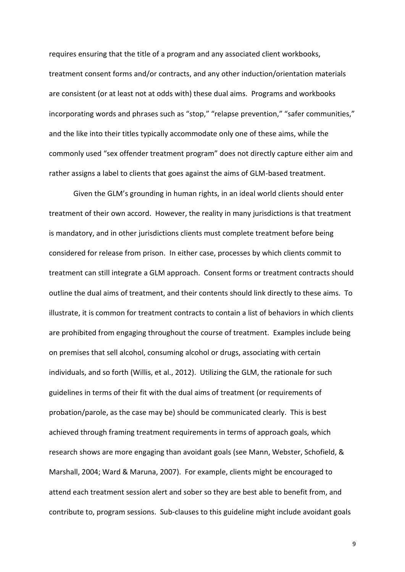requires ensuring that the title of a program and any associated client workbooks, treatment consent forms and/or contracts, and any other induction/orientation materials are consistent (or at least not at odds with) these dual aims. Programs and workbooks incorporating words and phrases such as "stop," "relapse prevention," "safer communities," and the like into their titles typically accommodate only one of these aims, while the commonly used "sex offender treatment program" does not directly capture either aim and rather assigns a label to clients that goes against the aims of GLM-based treatment.

Given the GLM's grounding in human rights, in an ideal world clients should enter treatment of their own accord. However, the reality in many jurisdictions is that treatment is mandatory, and in other jurisdictions clients must complete treatment before being considered for release from prison. In either case, processes by which clients commit to treatment can still integrate a GLM approach. Consent forms or treatment contracts should outline the dual aims of treatment, and their contents should link directly to these aims. To illustrate, it is common for treatment contracts to contain a list of behaviors in which clients are prohibited from engaging throughout the course of treatment. Examples include being on premises that sell alcohol, consuming alcohol or drugs, associating with certain individuals, and so forth (Willis, et al., 2012). Utilizing the GLM, the rationale for such guidelines in terms of their fit with the dual aims of treatment (or requirements of probation/parole, as the case may be) should be communicated clearly. This is best achieved through framing treatment requirements in terms of approach goals, which research shows are more engaging than avoidant goals (see Mann, Webster, Schofield, & Marshall, 2004; Ward & Maruna, 2007). For example, clients might be encouraged to attend each treatment session alert and sober so they are best able to benefit from, and contribute to, program sessions. Sub-clauses to this guideline might include avoidant goals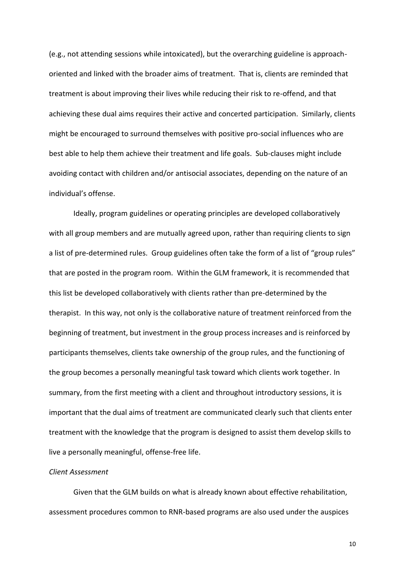(e.g., not attending sessions while intoxicated), but the overarching guideline is approachoriented and linked with the broader aims of treatment. That is, clients are reminded that treatment is about improving their lives while reducing their risk to re-offend, and that achieving these dual aims requires their active and concerted participation. Similarly, clients might be encouraged to surround themselves with positive pro-social influences who are best able to help them achieve their treatment and life goals. Sub-clauses might include avoiding contact with children and/or antisocial associates, depending on the nature of an individual's offense.

Ideally, program guidelines or operating principles are developed collaboratively with all group members and are mutually agreed upon, rather than requiring clients to sign a list of pre-determined rules. Group guidelines often take the form of a list of "group rules" that are posted in the program room. Within the GLM framework, it is recommended that this list be developed collaboratively with clients rather than pre-determined by the therapist. In this way, not only is the collaborative nature of treatment reinforced from the beginning of treatment, but investment in the group process increases and is reinforced by participants themselves, clients take ownership of the group rules, and the functioning of the group becomes a personally meaningful task toward which clients work together. In summary, from the first meeting with a client and throughout introductory sessions, it is important that the dual aims of treatment are communicated clearly such that clients enter treatment with the knowledge that the program is designed to assist them develop skills to live a personally meaningful, offense-free life.

#### *Client Assessment*

Given that the GLM builds on what is already known about effective rehabilitation, assessment procedures common to RNR-based programs are also used under the auspices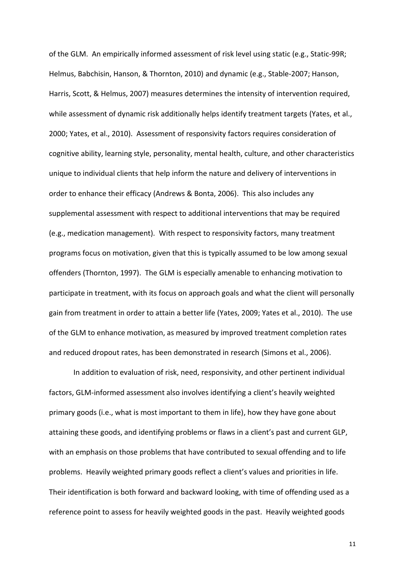of the GLM. An empirically informed assessment of risk level using static (e.g., Static-99R; Helmus, Babchisin, Hanson, & Thornton, 2010) and dynamic (e.g., Stable-2007; Hanson, Harris, Scott, & Helmus, 2007) measures determines the intensity of intervention required, while assessment of dynamic risk additionally helps identify treatment targets (Yates, et al., 2000; Yates, et al., 2010). Assessment of responsivity factors requires consideration of cognitive ability, learning style, personality, mental health, culture, and other characteristics unique to individual clients that help inform the nature and delivery of interventions in order to enhance their efficacy (Andrews & Bonta, 2006). This also includes any supplemental assessment with respect to additional interventions that may be required (e.g., medication management). With respect to responsivity factors, many treatment programs focus on motivation, given that this is typically assumed to be low among sexual offenders (Thornton, 1997). The GLM is especially amenable to enhancing motivation to participate in treatment, with its focus on approach goals and what the client will personally gain from treatment in order to attain a better life (Yates, 2009; Yates et al., 2010). The use of the GLM to enhance motivation, as measured by improved treatment completion rates and reduced dropout rates, has been demonstrated in research (Simons et al., 2006).

In addition to evaluation of risk, need, responsivity, and other pertinent individual factors, GLM-informed assessment also involves identifying a client's heavily weighted primary goods (i.e., what is most important to them in life), how they have gone about attaining these goods, and identifying problems or flaws in a client's past and current GLP, with an emphasis on those problems that have contributed to sexual offending and to life problems. Heavily weighted primary goods reflect a client's values and priorities in life. Their identification is both forward and backward looking, with time of offending used as a reference point to assess for heavily weighted goods in the past. Heavily weighted goods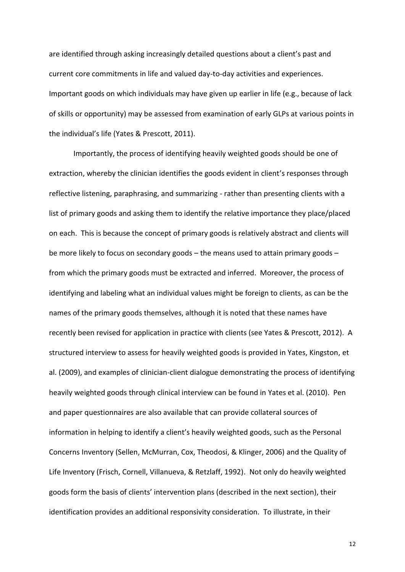are identified through asking increasingly detailed questions about a client's past and current core commitments in life and valued day-to-day activities and experiences. Important goods on which individuals may have given up earlier in life (e.g., because of lack of skills or opportunity) may be assessed from examination of early GLPs at various points in the individual's life (Yates & Prescott, 2011).

Importantly, the process of identifying heavily weighted goods should be one of extraction, whereby the clinician identifies the goods evident in client's responses through reflective listening, paraphrasing, and summarizing - rather than presenting clients with a list of primary goods and asking them to identify the relative importance they place/placed on each. This is because the concept of primary goods is relatively abstract and clients will be more likely to focus on secondary goods  $-$  the means used to attain primary goods  $$ from which the primary goods must be extracted and inferred. Moreover, the process of identifying and labeling what an individual values might be foreign to clients, as can be the names of the primary goods themselves, although it is noted that these names have recently been revised for application in practice with clients (see Yates & Prescott, 2012). A structured interview to assess for heavily weighted goods is provided in Yates, Kingston, et al. (2009), and examples of clinician-client dialogue demonstrating the process of identifying heavily weighted goods through clinical interview can be found in Yates et al. (2010). Pen and paper questionnaires are also available that can provide collateral sources of information in helping to identify a client's heavily weighted goods, such as the Personal Concerns Inventory (Sellen, McMurran, Cox, Theodosi, & Klinger, 2006) and the Quality of Life Inventory (Frisch, Cornell, Villanueva, & Retzlaff, 1992). Not only do heavily weighted goods form the basis of clients' intervention plans (described in the next section), their identification provides an additional responsivity consideration. To illustrate, in their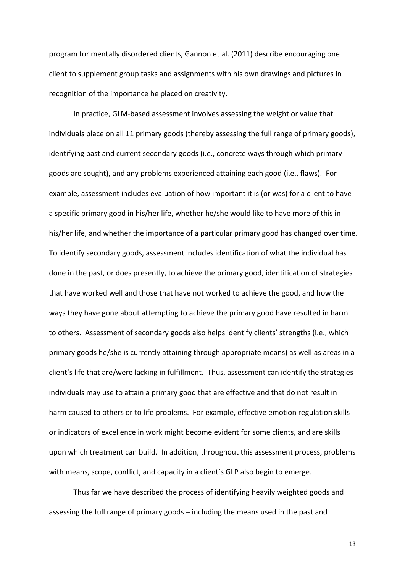program for mentally disordered clients, Gannon et al. (2011) describe encouraging one client to supplement group tasks and assignments with his own drawings and pictures in recognition of the importance he placed on creativity.

In practice, GLM-based assessment involves assessing the weight or value that individuals place on all 11 primary goods (thereby assessing the full range of primary goods), identifying past and current secondary goods (i.e., concrete ways through which primary goods are sought), and any problems experienced attaining each good (i.e., flaws). For example, assessment includes evaluation of how important it is (or was) for a client to have a specific primary good in his/her life, whether he/she would like to have more of this in his/her life, and whether the importance of a particular primary good has changed over time. To identify secondary goods, assessment includes identification of what the individual has done in the past, or does presently, to achieve the primary good, identification of strategies that have worked well and those that have not worked to achieve the good, and how the ways they have gone about attempting to achieve the primary good have resulted in harm to others. Assessment of secondary goods also helps identify clients' strengths (i.e., which primary goods he/she is currently attaining through appropriate means) as well as areas in a client's life that are/were lacking in fulfillment. Thus, assessment can identify the strategies individuals may use to attain a primary good that are effective and that do not result in harm caused to others or to life problems. For example, effective emotion regulation skills or indicators of excellence in work might become evident for some clients, and are skills upon which treatment can build. In addition, throughout this assessment process, problems with means, scope, conflict, and capacity in a client's GLP also begin to emerge.

Thus far we have described the process of identifying heavily weighted goods and assessing the full range of primary goods – including the means used in the past and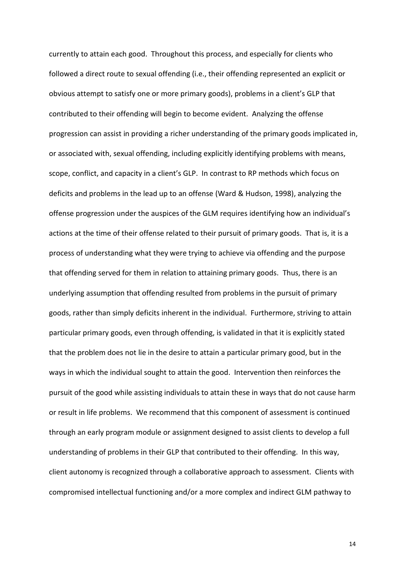currently to attain each good. Throughout this process, and especially for clients who followed a direct route to sexual offending (i.e., their offending represented an explicit or obvious attempt to satisfy one or more primary goods), problems in a client's GLP that contributed to their offending will begin to become evident. Analyzing the offense progression can assist in providing a richer understanding of the primary goods implicated in, or associated with, sexual offending, including explicitly identifying problems with means, scope, conflict, and capacity in a client's GLP. In contrast to RP methods which focus on deficits and problems in the lead up to an offense (Ward & Hudson, 1998), analyzing the offense progression under the auspices of the GLM requires identifying how an individual's actions at the time of their offense related to their pursuit of primary goods. That is, it is a process of understanding what they were trying to achieve via offending and the purpose that offending served for them in relation to attaining primary goods. Thus, there is an underlying assumption that offending resulted from problems in the pursuit of primary goods, rather than simply deficits inherent in the individual. Furthermore, striving to attain particular primary goods, even through offending, is validated in that it is explicitly stated that the problem does not lie in the desire to attain a particular primary good, but in the ways in which the individual sought to attain the good. Intervention then reinforces the pursuit of the good while assisting individuals to attain these in ways that do not cause harm or result in life problems. We recommend that this component of assessment is continued through an early program module or assignment designed to assist clients to develop a full understanding of problems in their GLP that contributed to their offending. In this way, client autonomy is recognized through a collaborative approach to assessment. Clients with compromised intellectual functioning and/or a more complex and indirect GLM pathway to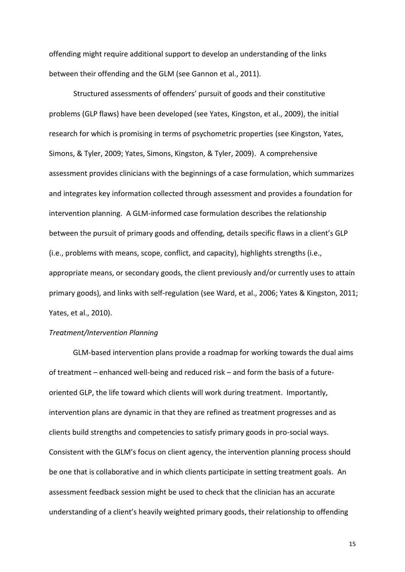offending might require additional support to develop an understanding of the links between their offending and the GLM (see Gannon et al., 2011).

Structured assessments of offenders' pursuit of goods and their constitutive problems (GLP flaws) have been developed (see Yates, Kingston, et al., 2009), the initial research for which is promising in terms of psychometric properties (see Kingston, Yates, Simons, & Tyler, 2009; Yates, Simons, Kingston, & Tyler, 2009). A comprehensive assessment provides clinicians with the beginnings of a case formulation, which summarizes and integrates key information collected through assessment and provides a foundation for intervention planning. A GLM-informed case formulation describes the relationship between the pursuit of primary goods and offending, details specific flaws in a client's GLP (i.e., problems with means, scope, conflict, and capacity), highlights strengths (i.e., appropriate means, or secondary goods, the client previously and/or currently uses to attain primary goods), and links with self-regulation (see Ward, et al., 2006; Yates & Kingston, 2011; Yates, et al., 2010).

#### *Treatment/Intervention Planning*

GLM-based intervention plans provide a roadmap for working towards the dual aims of treatment – enhanced well-being and reduced risk – and form the basis of a futureoriented GLP, the life toward which clients will work during treatment. Importantly, intervention plans are dynamic in that they are refined as treatment progresses and as clients build strengths and competencies to satisfy primary goods in pro-social ways. Consistent with the GLM's focus on client agency, the intervention planning process should be one that is collaborative and in which clients participate in setting treatment goals. An assessment feedback session might be used to check that the clinician has an accurate understanding of a client's heavily weighted primary goods, their relationship to offending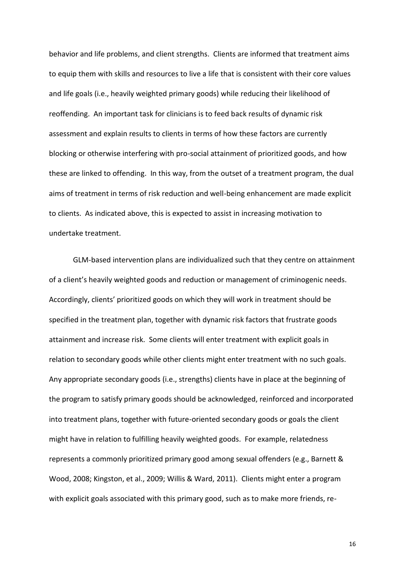behavior and life problems, and client strengths. Clients are informed that treatment aims to equip them with skills and resources to live a life that is consistent with their core values and life goals (i.e., heavily weighted primary goods) while reducing their likelihood of reoffending. An important task for clinicians is to feed back results of dynamic risk assessment and explain results to clients in terms of how these factors are currently blocking or otherwise interfering with pro-social attainment of prioritized goods, and how these are linked to offending. In this way, from the outset of a treatment program, the dual aims of treatment in terms of risk reduction and well-being enhancement are made explicit to clients. As indicated above, this is expected to assist in increasing motivation to undertake treatment.

GLM-based intervention plans are individualized such that they centre on attainment of a client's heavily weighted goods and reduction or management of criminogenic needs. Accordingly, clients' prioritized goods on which they will work in treatment should be specified in the treatment plan, together with dynamic risk factors that frustrate goods attainment and increase risk. Some clients will enter treatment with explicit goals in relation to secondary goods while other clients might enter treatment with no such goals. Any appropriate secondary goods (i.e., strengths) clients have in place at the beginning of the program to satisfy primary goods should be acknowledged, reinforced and incorporated into treatment plans, together with future-oriented secondary goods or goals the client might have in relation to fulfilling heavily weighted goods. For example, relatedness represents a commonly prioritized primary good among sexual offenders (e.g., Barnett & Wood, 2008; Kingston, et al., 2009; Willis & Ward, 2011). Clients might enter a program with explicit goals associated with this primary good, such as to make more friends, re-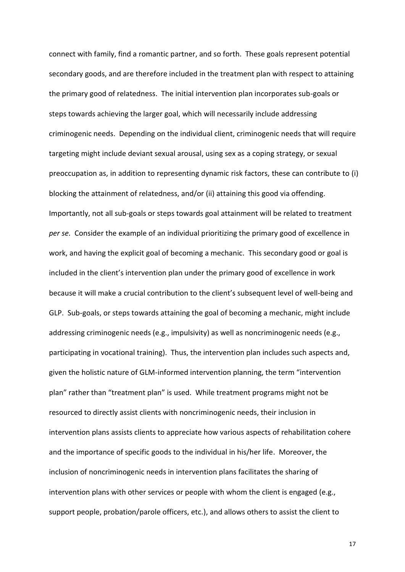connect with family, find a romantic partner, and so forth. These goals represent potential secondary goods, and are therefore included in the treatment plan with respect to attaining the primary good of relatedness. The initial intervention plan incorporates sub-goals or steps towards achieving the larger goal, which will necessarily include addressing criminogenic needs. Depending on the individual client, criminogenic needs that will require targeting might include deviant sexual arousal, using sex as a coping strategy, or sexual preoccupation as, in addition to representing dynamic risk factors, these can contribute to (i) blocking the attainment of relatedness, and/or (ii) attaining this good via offending. Importantly, not all sub-goals or steps towards goal attainment will be related to treatment *per se.* Consider the example of an individual prioritizing the primary good of excellence in work, and having the explicit goal of becoming a mechanic. This secondary good or goal is included in the client's intervention plan under the primary good of excellence in work because it will make a crucial contribution to the client's subsequent level of well-being and GLP. Sub-goals, or steps towards attaining the goal of becoming a mechanic, might include addressing criminogenic needs (e.g., impulsivity) as well as noncriminogenic needs (e.g., participating in vocational training). Thus, the intervention plan includes such aspects and, given the holistic nature of GLM-informed intervention planning, the term "intervention plan" rather than "treatment plan" is used. While treatment programs might not be resourced to directly assist clients with noncriminogenic needs, their inclusion in intervention plans assists clients to appreciate how various aspects of rehabilitation cohere and the importance of specific goods to the individual in his/her life. Moreover, the inclusion of noncriminogenic needs in intervention plans facilitates the sharing of intervention plans with other services or people with whom the client is engaged (e.g., support people, probation/parole officers, etc.), and allows others to assist the client to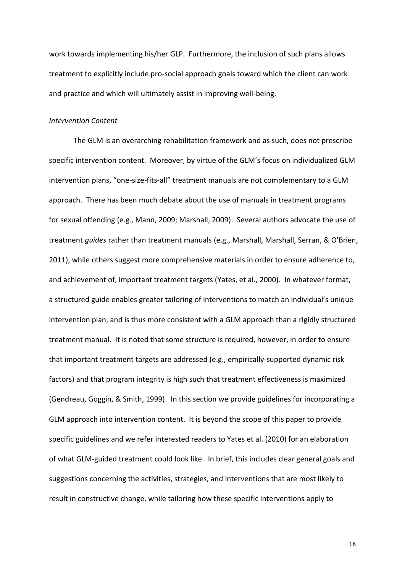work towards implementing his/her GLP. Furthermore, the inclusion of such plans allows treatment to explicitly include pro-social approach goals toward which the client can work and practice and which will ultimately assist in improving well-being.

#### *Intervention Content*

The GLM is an overarching rehabilitation framework and as such, does not prescribe specific intervention content. Moreover, by virtue of the GLM's focus on individualized GLM intervention plans, "one-size-fits-all" treatment manuals are not complementary to a GLM approach. There has been much debate about the use of manuals in treatment programs for sexual offending (e.g., Mann, 2009; Marshall, 2009). Several authors advocate the use of treatment *guides* rather than treatment manuals (e.g., Marshall, Marshall, Serran, & O'Brien, 2011), while others suggest more comprehensive materials in order to ensure adherence to, and achievement of, important treatment targets (Yates, et al., 2000). In whatever format, a structured guide enables greater tailoring of interventions to match an individual's unique intervention plan, and is thus more consistent with a GLM approach than a rigidly structured treatment manual. It is noted that some structure is required, however, in order to ensure that important treatment targets are addressed (e.g., empirically-supported dynamic risk factors) and that program integrity is high such that treatment effectiveness is maximized (Gendreau, Goggin, & Smith, 1999). In this section we provide guidelines for incorporating a GLM approach into intervention content. It is beyond the scope of this paper to provide specific guidelines and we refer interested readers to Yates et al. (2010) for an elaboration of what GLM-guided treatment could look like. In brief, this includes clear general goals and suggestions concerning the activities, strategies, and interventions that are most likely to result in constructive change, while tailoring how these specific interventions apply to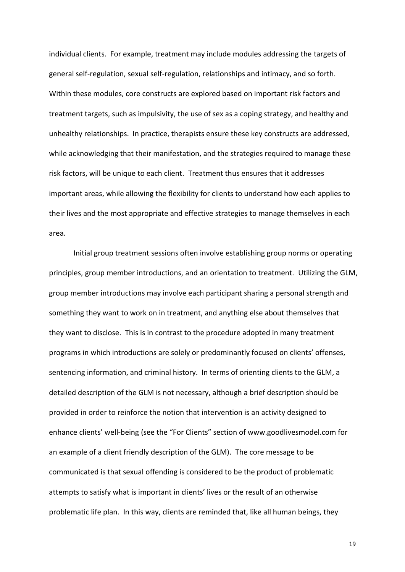individual clients. For example, treatment may include modules addressing the targets of general self-regulation, sexual self-regulation, relationships and intimacy, and so forth. Within these modules, core constructs are explored based on important risk factors and treatment targets, such as impulsivity, the use of sex as a coping strategy, and healthy and unhealthy relationships. In practice, therapists ensure these key constructs are addressed, while acknowledging that their manifestation, and the strategies required to manage these risk factors, will be unique to each client. Treatment thus ensures that it addresses important areas, while allowing the flexibility for clients to understand how each applies to their lives and the most appropriate and effective strategies to manage themselves in each area.

Initial group treatment sessions often involve establishing group norms or operating principles, group member introductions, and an orientation to treatment. Utilizing the GLM, group member introductions may involve each participant sharing a personal strength and something they want to work on in treatment, and anything else about themselves that they want to disclose. This is in contrast to the procedure adopted in many treatment programs in which introductions are solely or predominantly focused on clients' offenses, sentencing information, and criminal history. In terms of orienting clients to the GLM, a detailed description of the GLM is not necessary, although a brief description should be provided in order to reinforce the notion that intervention is an activity designed to enhance clients' well-being (see the "For Clients" section of [www.goodlivesmodel.com](http://www.goodlivesmodel.com/) for an example of a client friendly description of the GLM). The core message to be communicated is that sexual offending is considered to be the product of problematic attempts to satisfy what is important in clients' lives or the result of an otherwise problematic life plan. In this way, clients are reminded that, like all human beings, they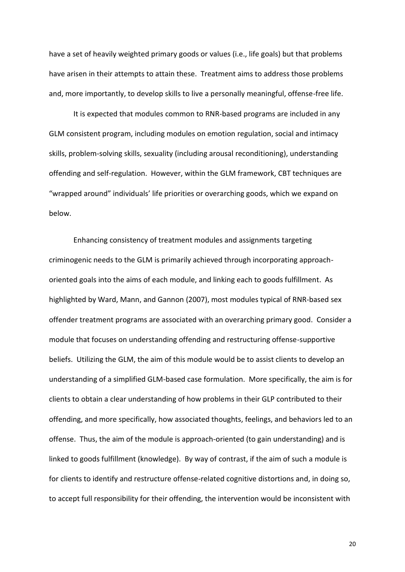have a set of heavily weighted primary goods or values (i.e., life goals) but that problems have arisen in their attempts to attain these. Treatment aims to address those problems and, more importantly, to develop skills to live a personally meaningful, offense-free life.

It is expected that modules common to RNR-based programs are included in any GLM consistent program, including modules on emotion regulation, social and intimacy skills, problem-solving skills, sexuality (including arousal reconditioning), understanding offending and self-regulation. However, within the GLM framework, CBT techniques are "wrapped around" individuals' life priorities or overarching goods, which we expand on below.

Enhancing consistency of treatment modules and assignments targeting criminogenic needs to the GLM is primarily achieved through incorporating approachoriented goals into the aims of each module, and linking each to goods fulfillment. As highlighted by Ward, Mann, and Gannon (2007), most modules typical of RNR-based sex offender treatment programs are associated with an overarching primary good. Consider a module that focuses on understanding offending and restructuring offense-supportive beliefs. Utilizing the GLM, the aim of this module would be to assist clients to develop an understanding of a simplified GLM-based case formulation. More specifically, the aim is for clients to obtain a clear understanding of how problems in their GLP contributed to their offending, and more specifically, how associated thoughts, feelings, and behaviors led to an offense. Thus, the aim of the module is approach-oriented (to gain understanding) and is linked to goods fulfillment (knowledge). By way of contrast, if the aim of such a module is for clients to identify and restructure offense-related cognitive distortions and, in doing so, to accept full responsibility for their offending, the intervention would be inconsistent with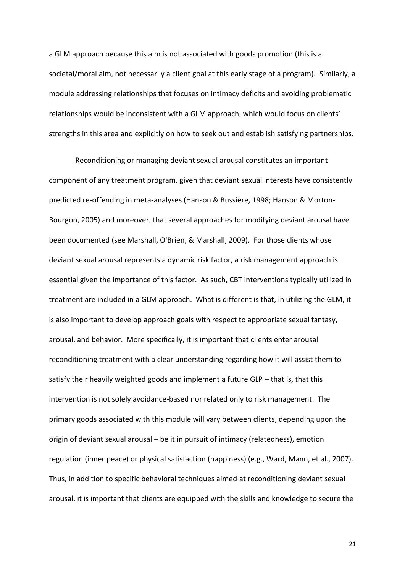a GLM approach because this aim is not associated with goods promotion (this is a societal/moral aim, not necessarily a client goal at this early stage of a program). Similarly, a module addressing relationships that focuses on intimacy deficits and avoiding problematic relationships would be inconsistent with a GLM approach, which would focus on clients' strengths in this area and explicitly on how to seek out and establish satisfying partnerships.

 Reconditioning or managing deviant sexual arousal constitutes an important component of any treatment program, given that deviant sexual interests have consistently predicted re-offending in meta-analyses (Hanson & Bussière, 1998; Hanson & Morton-Bourgon, 2005) and moreover, that several approaches for modifying deviant arousal have been documented (see Marshall, O'Brien, & Marshall, 2009). For those clients whose deviant sexual arousal represents a dynamic risk factor, a risk management approach is essential given the importance of this factor. As such, CBT interventions typically utilized in treatment are included in a GLM approach. What is different is that, in utilizing the GLM, it is also important to develop approach goals with respect to appropriate sexual fantasy, arousal, and behavior. More specifically, it is important that clients enter arousal reconditioning treatment with a clear understanding regarding how it will assist them to satisfy their heavily weighted goods and implement a future GLP  $-$  that is, that this intervention is not solely avoidance-based nor related only to risk management. The primary goods associated with this module will vary between clients, depending upon the origin of deviant sexual arousal  $-$  be it in pursuit of intimacy (relatedness), emotion regulation (inner peace) or physical satisfaction (happiness) (e.g., Ward, Mann, et al., 2007). Thus, in addition to specific behavioral techniques aimed at reconditioning deviant sexual arousal, it is important that clients are equipped with the skills and knowledge to secure the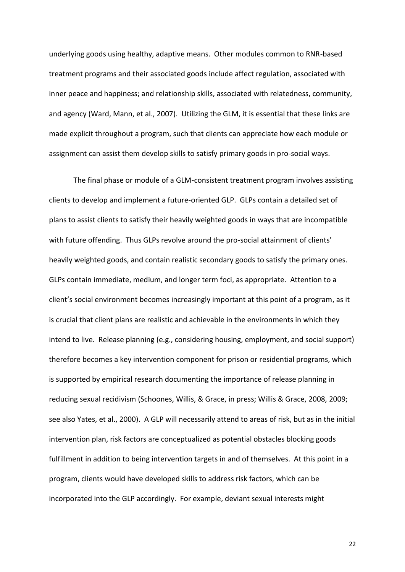underlying goods using healthy, adaptive means. Other modules common to RNR-based treatment programs and their associated goods include affect regulation, associated with inner peace and happiness; and relationship skills, associated with relatedness, community, and agency (Ward, Mann, et al., 2007). Utilizing the GLM, it is essential that these links are made explicit throughout a program, such that clients can appreciate how each module or assignment can assist them develop skills to satisfy primary goods in pro-social ways.

The final phase or module of a GLM-consistent treatment program involves assisting clients to develop and implement a future-oriented GLP. GLPs contain a detailed set of plans to assist clients to satisfy their heavily weighted goods in ways that are incompatible with future offending. Thus GLPs revolve around the pro-social attainment of clients' heavily weighted goods, and contain realistic secondary goods to satisfy the primary ones. GLPs contain immediate, medium, and longer term foci, as appropriate. Attention to a client's social environment becomes increasingly important at this point of a program, as it is crucial that client plans are realistic and achievable in the environments in which they intend to live. Release planning (e.g., considering housing, employment, and social support) therefore becomes a key intervention component for prison or residential programs, which is supported by empirical research documenting the importance of release planning in reducing sexual recidivism (Schoones, Willis, & Grace, in press; Willis & Grace, 2008, 2009; see also Yates, et al., 2000). A GLP will necessarily attend to areas of risk, but as in the initial intervention plan, risk factors are conceptualized as potential obstacles blocking goods fulfillment in addition to being intervention targets in and of themselves. At this point in a program, clients would have developed skills to address risk factors, which can be incorporated into the GLP accordingly. For example, deviant sexual interests might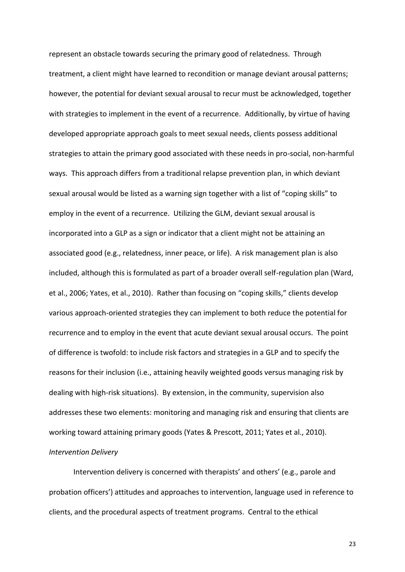represent an obstacle towards securing the primary good of relatedness. Through treatment, a client might have learned to recondition or manage deviant arousal patterns; however, the potential for deviant sexual arousal to recur must be acknowledged, together with strategies to implement in the event of a recurrence. Additionally, by virtue of having developed appropriate approach goals to meet sexual needs, clients possess additional strategies to attain the primary good associated with these needs in pro-social, non-harmful ways. This approach differs from a traditional relapse prevention plan, in which deviant sexual arousal would be listed as a warning sign together with a list of "coping skills" to employ in the event of a recurrence. Utilizing the GLM, deviant sexual arousal is incorporated into a GLP as a sign or indicator that a client might not be attaining an associated good (e.g., relatedness, inner peace, or life). A risk management plan is also included, although this is formulated as part of a broader overall self-regulation plan (Ward, et al., 2006; Yates, et al., 2010). Rather than focusing on "coping skills," clients develop various approach-oriented strategies they can implement to both reduce the potential for recurrence and to employ in the event that acute deviant sexual arousal occurs. The point of difference is twofold: to include risk factors and strategies in a GLP and to specify the reasons for their inclusion (i.e., attaining heavily weighted goods versus managing risk by dealing with high-risk situations). By extension, in the community, supervision also addresses these two elements: monitoring and managing risk and ensuring that clients are working toward attaining primary goods (Yates & Prescott, 2011; Yates et al., 2010). *Intervention Delivery* 

Intervention delivery is concerned with therapists' and others' (e.g., parole and probation officers') attitudes and approaches to intervention, language used in reference to clients, and the procedural aspects of treatment programs. Central to the ethical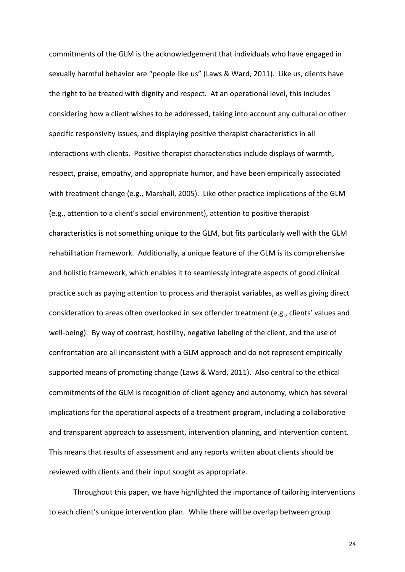commitments of the GLM is the acknowledgement that individuals who have engaged in sexually harmful behavior are "people like us" (Laws & Ward, 2011). Like us, clients have the right to be treated with dignity and respect. At an operational level, this includes considering how a client wishes to be addressed, taking into account any cultural or other specific responsivity issues, and displaying positive therapist characteristics in all interactions with clients. Positive therapist characteristics include displays of warmth, respect, praise, empathy, and appropriate humor, and have been empirically associated with treatment change (e.g., Marshall, 2005). Like other practice implications of the GLM (e.g., attention to a client's social environment), attention to positive therapist characteristics is not something unique to the GLM, but fits particularly well with the GLM rehabilitation framework. Additionally, a unique feature of the GLM is its comprehensive and holistic framework, which enables it to seamlessly integrate aspects of good clinical practice such as paying attention to process and therapist variables, as well as giving direct consideration to areas often overlooked in sex offender treatment (e.g., clients' values and well-being). By way of contrast, hostility, negative labeling of the client, and the use of confrontation are all inconsistent with a GLM approach and do not represent empirically supported means of promoting change (Laws & Ward, 2011). Also central to the ethical commitments of the GLM is recognition of client agency and autonomy, which has several implications for the operational aspects of a treatment program, including a collaborative and transparent approach to assessment, intervention planning, and intervention content. This means that results of assessment and any reports written about clients should be reviewed with clients and their input sought as appropriate.

Throughout this paper, we have highlighted the importance of tailoring interventions to each client's unique intervention plan. While there will be overlap between group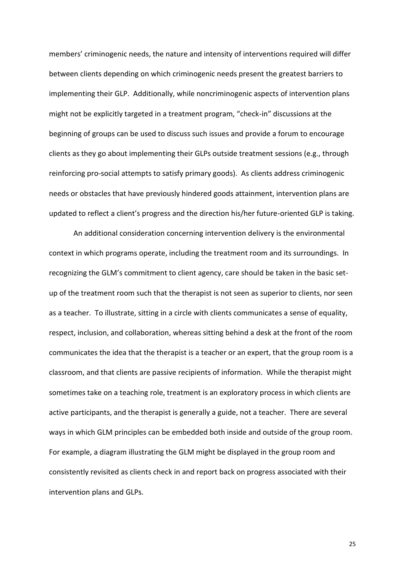members' criminogenic needs, the nature and intensity of interventions required will differ between clients depending on which criminogenic needs present the greatest barriers to implementing their GLP. Additionally, while noncriminogenic aspects of intervention plans might not be explicitly targeted in a treatment program, "check-in" discussions at the beginning of groups can be used to discuss such issues and provide a forum to encourage clients as they go about implementing their GLPs outside treatment sessions (e.g., through reinforcing pro-social attempts to satisfy primary goods). As clients address criminogenic needs or obstacles that have previously hindered goods attainment, intervention plans are updated to reflect a client's progress and the direction his/her future-oriented GLP is taking.

An additional consideration concerning intervention delivery is the environmental context in which programs operate, including the treatment room and its surroundings. In recognizing the GLM's commitment to client agency, care should be taken in the basic setup of the treatment room such that the therapist is not seen as superior to clients, nor seen as a teacher. To illustrate, sitting in a circle with clients communicates a sense of equality, respect, inclusion, and collaboration, whereas sitting behind a desk at the front of the room communicates the idea that the therapist is a teacher or an expert, that the group room is a classroom, and that clients are passive recipients of information. While the therapist might sometimes take on a teaching role, treatment is an exploratory process in which clients are active participants, and the therapist is generally a guide, not a teacher. There are several ways in which GLM principles can be embedded both inside and outside of the group room. For example, a diagram illustrating the GLM might be displayed in the group room and consistently revisited as clients check in and report back on progress associated with their intervention plans and GLPs.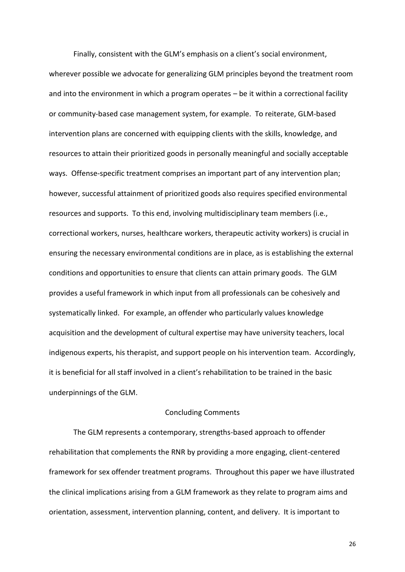Finally, consistent with the GLM's emphasis on a client's social environment, wherever possible we advocate for generalizing GLM principles beyond the treatment room and into the environment in which a program operates  $-$  be it within a correctional facility or community-based case management system, for example. To reiterate, GLM-based intervention plans are concerned with equipping clients with the skills, knowledge, and resources to attain their prioritized goods in personally meaningful and socially acceptable ways. Offense-specific treatment comprises an important part of any intervention plan; however, successful attainment of prioritized goods also requires specified environmental resources and supports. To this end, involving multidisciplinary team members (i.e., correctional workers, nurses, healthcare workers, therapeutic activity workers) is crucial in ensuring the necessary environmental conditions are in place, as is establishing the external conditions and opportunities to ensure that clients can attain primary goods. The GLM provides a useful framework in which input from all professionals can be cohesively and systematically linked. For example, an offender who particularly values knowledge acquisition and the development of cultural expertise may have university teachers, local indigenous experts, his therapist, and support people on his intervention team. Accordingly, it is beneficial for all staff involved in a client's rehabilitation to be trained in the basic underpinnings of the GLM.

#### Concluding Comments

The GLM represents a contemporary, strengths-based approach to offender rehabilitation that complements the RNR by providing a more engaging, client-centered framework for sex offender treatment programs. Throughout this paper we have illustrated the clinical implications arising from a GLM framework as they relate to program aims and orientation, assessment, intervention planning, content, and delivery. It is important to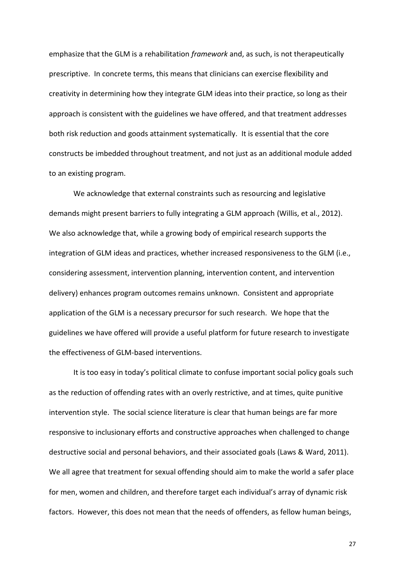emphasize that the GLM is a rehabilitation *framework* and, as such, is not therapeutically prescriptive. In concrete terms, this means that clinicians can exercise flexibility and creativity in determining how they integrate GLM ideas into their practice, so long as their approach is consistent with the guidelines we have offered, and that treatment addresses both risk reduction and goods attainment systematically. It is essential that the core constructs be imbedded throughout treatment, and not just as an additional module added to an existing program.

We acknowledge that external constraints such as resourcing and legislative demands might present barriers to fully integrating a GLM approach (Willis, et al., 2012). We also acknowledge that, while a growing body of empirical research supports the integration of GLM ideas and practices, whether increased responsiveness to the GLM (i.e., considering assessment, intervention planning, intervention content, and intervention delivery) enhances program outcomes remains unknown. Consistent and appropriate application of the GLM is a necessary precursor for such research. We hope that the guidelines we have offered will provide a useful platform for future research to investigate the effectiveness of GLM-based interventions.

It is too easy in today's political climate to confuse important social policy goals such as the reduction of offending rates with an overly restrictive, and at times, quite punitive intervention style. The social science literature is clear that human beings are far more responsive to inclusionary efforts and constructive approaches when challenged to change destructive social and personal behaviors, and their associated goals (Laws & Ward, 2011). We all agree that treatment for sexual offending should aim to make the world a safer place for men, women and children, and therefore target each individual's array of dynamic risk factors. However, this does not mean that the needs of offenders, as fellow human beings,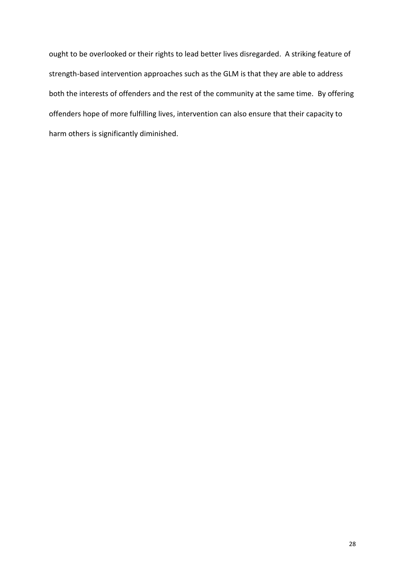ought to be overlooked or their rights to lead better lives disregarded. A striking feature of strength-based intervention approaches such as the GLM is that they are able to address both the interests of offenders and the rest of the community at the same time. By offering offenders hope of more fulfilling lives, intervention can also ensure that their capacity to harm others is significantly diminished.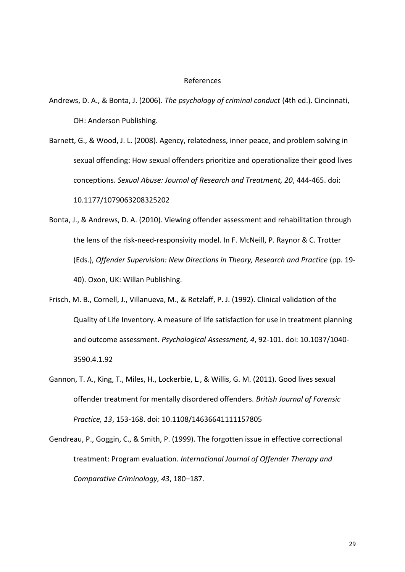#### References

- Andrews, D. A., & Bonta, J. (2006). *The psychology of criminal conduct* (4th ed.). Cincinnati, OH: Anderson Publishing.
- Barnett, G., & Wood, J. L. (2008). Agency, relatedness, inner peace, and problem solving in sexual offending: How sexual offenders prioritize and operationalize their good lives conceptions. *Sexual Abuse: Journal of Research and Treatment, 20*, 444-465. doi: 10.1177/1079063208325202
- Bonta, J., & Andrews, D. A. (2010). Viewing offender assessment and rehabilitation through the lens of the risk-need-responsivity model. In F. McNeill, P. Raynor & C. Trotter (Eds.), *Offender Supervision: New Directions in Theory, Research and Practice* (pp. 19- 40). Oxon, UK: Willan Publishing.
- Frisch, M. B., Cornell, J., Villanueva, M., & Retzlaff, P. J. (1992). Clinical validation of the Quality of Life Inventory. A measure of life satisfaction for use in treatment planning and outcome assessment. *Psychological Assessment, 4*, 92-101. doi: 10.1037/1040- 3590.4.1.92
- Gannon, T. A., King, T., Miles, H., Lockerbie, L., & Willis, G. M. (2011). Good lives sexual offender treatment for mentally disordered offenders. *British Journal of Forensic Practice, 13*, 153-168. doi: 10.1108/14636641111157805
- Gendreau, P., Goggin, C., & Smith, P. (1999). The forgotten issue in effective correctional treatment: Program evaluation. *International Journal of Offender Therapy and Comparative Criminology, 43, 180-187.*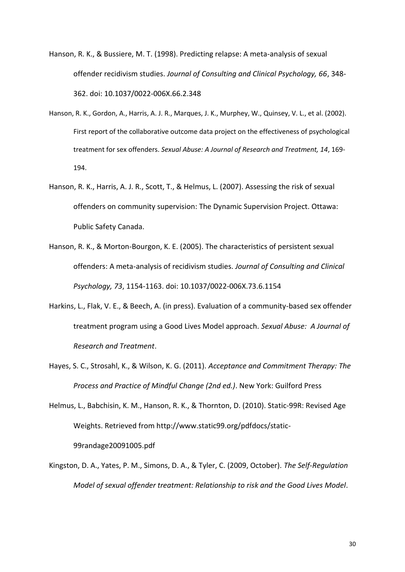Hanson, R. K., & Bussiere, M. T. (1998). Predicting relapse: A meta-analysis of sexual offender recidivism studies. *Journal of Consulting and Clinical Psychology, 66*, 348- 362. doi: 10.1037/0022-006X.66.2.348

- Hanson, R. K., Gordon, A., Harris, A. J. R., Marques, J. K., Murphey, W., Quinsey, V. L., et al. (2002). First report of the collaborative outcome data project on the effectiveness of psychological treatment for sex offenders. *Sexual Abuse: A Journal of Research and Treatment, 14*, 169- 194.
- Hanson, R. K., Harris, A. J. R., Scott, T., & Helmus, L. (2007). Assessing the risk of sexual offenders on community supervision: The Dynamic Supervision Project. Ottawa: Public Safety Canada.
- Hanson, R. K., & Morton-Bourgon, K. E. (2005). The characteristics of persistent sexual offenders: A meta-analysis of recidivism studies. *Journal of Consulting and Clinical Psychology, 73*, 1154-1163. doi: 10.1037/0022-006X.73.6.1154
- Harkins, L., Flak, V. E., & Beech, A. (in press). Evaluation of a community-based sex offender treatment program using a Good Lives Model approach. *Sexual Abuse: A Journal of Research and Treatment*.
- Hayes, S. C., Strosahl, K., & Wilson, K. G. (2011). *Acceptance and Commitment Therapy: The Process and Practice of Mindful Change (2nd ed.)*. New York: Guilford Press
- Helmus, L., Babchisin, K. M., Hanson, R. K., & Thornton, D. (2010). Static-99R: Revised Age Weights. Retrieved from http://www.static99.org/pdfdocs/static-99randage20091005.pdf
- Kingston, D. A., Yates, P. M., Simons, D. A., & Tyler, C. (2009, October). *The Self-Regulation Model of sexual offender treatment: Relationship to risk and the Good Lives Model*.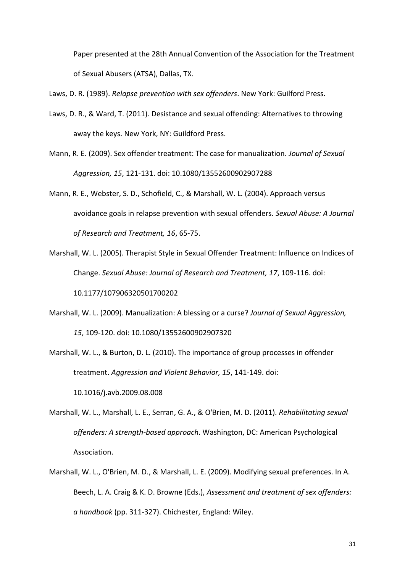Paper presented at the 28th Annual Convention of the Association for the Treatment of Sexual Abusers (ATSA), Dallas, TX.

Laws, D. R. (1989). *Relapse prevention with sex offenders*. New York: Guilford Press.

- Laws, D. R., & Ward, T. (2011). Desistance and sexual offending: Alternatives to throwing away the keys. New York, NY: Guildford Press.
- Mann, R. E. (2009). Sex offender treatment: The case for manualization. *Journal of Sexual Aggression, 15*, 121-131. doi: 10.1080/13552600902907288
- Mann, R. E., Webster, S. D., Schofield, C., & Marshall, W. L. (2004). Approach versus avoidance goals in relapse prevention with sexual offenders. *Sexual Abuse: A Journal of Research and Treatment, 16*, 65-75.
- Marshall, W. L. (2005). Therapist Style in Sexual Offender Treatment: Influence on Indices of Change. *Sexual Abuse: Journal of Research and Treatment, 17*, 109-116. doi: 10.1177/107906320501700202
- Marshall, W. L. (2009). Manualization: A blessing or a curse? *Journal of Sexual Aggression, 15*, 109-120. doi: 10.1080/13552600902907320
- Marshall, W. L., & Burton, D. L. (2010). The importance of group processes in offender treatment. *Aggression and Violent Behavior, 15*, 141-149. doi:

10.1016/j.avb.2009.08.008

- Marshall, W. L., Marshall, L. E., Serran, G. A., & O'Brien, M. D. (2011). *Rehabilitating sexual offenders: A strength-based approach*. Washington, DC: American Psychological Association.
- Marshall, W. L., O'Brien, M. D., & Marshall, L. E. (2009). Modifying sexual preferences. In A. Beech, L. A. Craig & K. D. Browne (Eds.), *Assessment and treatment of sex offenders: a handbook* (pp. 311-327). Chichester, England: Wiley.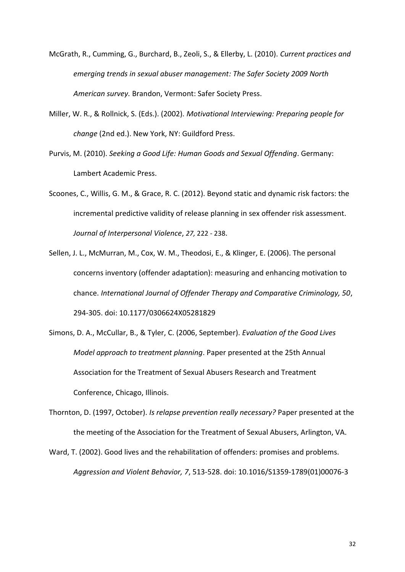- McGrath, R., Cumming, G., Burchard, B., Zeoli, S., & Ellerby, L. (2010). *Current practices and emerging trends in sexual abuser management: The Safer Society 2009 North American survey.* Brandon, Vermont: Safer Society Press.
- Miller, W. R., & Rollnick, S. (Eds.). (2002). *Motivational Interviewing: Preparing people for change* (2nd ed.). New York, NY: Guildford Press.
- Purvis, M. (2010). *Seeking a Good Life: Human Goods and Sexual Offending*. Germany: Lambert Academic Press.
- Scoones, C., Willis, G. M., & Grace, R. C. (2012). Beyond static and dynamic risk factors: the incremental predictive validity of release planning in sex offender risk assessment. *Journal of Interpersonal Violence*, *27,* 222 - 238.
- Sellen, J. L., McMurran, M., Cox, W. M., Theodosi, E., & Klinger, E. (2006). The personal concerns inventory (offender adaptation): measuring and enhancing motivation to chance. *International Journal of Offender Therapy and Comparative Criminology, 50*, 294-305. doi: 10.1177/0306624X05281829
- Simons, D. A., McCullar, B., & Tyler, C. (2006, September). *Evaluation of the Good Lives Model approach to treatment planning*. Paper presented at the 25th Annual Association for the Treatment of Sexual Abusers Research and Treatment Conference, Chicago, Illinois.
- Thornton, D. (1997, October). *Is relapse prevention really necessary?* Paper presented at the the meeting of the Association for the Treatment of Sexual Abusers, Arlington, VA.
- Ward, T. (2002). Good lives and the rehabilitation of offenders: promises and problems. *Aggression and Violent Behavior, 7*, 513-528. doi: 10.1016/S1359-1789(01)00076-3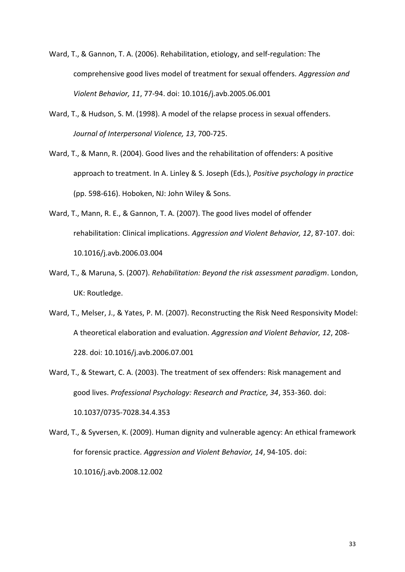- Ward, T., & Gannon, T. A. (2006). Rehabilitation, etiology, and self-regulation: The comprehensive good lives model of treatment for sexual offenders. *Aggression and Violent Behavior, 11*, 77-94. doi: 10.1016/j.avb.2005.06.001
- Ward, T., & Hudson, S. M. (1998). A model of the relapse process in sexual offenders. *Journal of Interpersonal Violence, 13*, 700-725.
- Ward, T., & Mann, R. (2004). Good lives and the rehabilitation of offenders: A positive approach to treatment. In A. Linley & S. Joseph (Eds.), *Positive psychology in practice* (pp. 598-616). Hoboken, NJ: John Wiley & Sons.
- Ward, T., Mann, R. E., & Gannon, T. A. (2007). The good lives model of offender rehabilitation: Clinical implications. *Aggression and Violent Behavior, 12*, 87-107. doi: 10.1016/j.avb.2006.03.004
- Ward, T., & Maruna, S. (2007). *Rehabilitation: Beyond the risk assessment paradigm*. London, UK: Routledge.
- Ward, T., Melser, J., & Yates, P. M. (2007). Reconstructing the Risk Need Responsivity Model: A theoretical elaboration and evaluation. *Aggression and Violent Behavior, 12*, 208- 228. doi: 10.1016/j.avb.2006.07.001
- Ward, T., & Stewart, C. A. (2003). The treatment of sex offenders: Risk management and good lives. *Professional Psychology: Research and Practice, 34*, 353-360. doi: 10.1037/0735-7028.34.4.353
- Ward, T., & Syversen, K. (2009). Human dignity and vulnerable agency: An ethical framework for forensic practice. *Aggression and Violent Behavior, 14*, 94-105. doi: 10.1016/j.avb.2008.12.002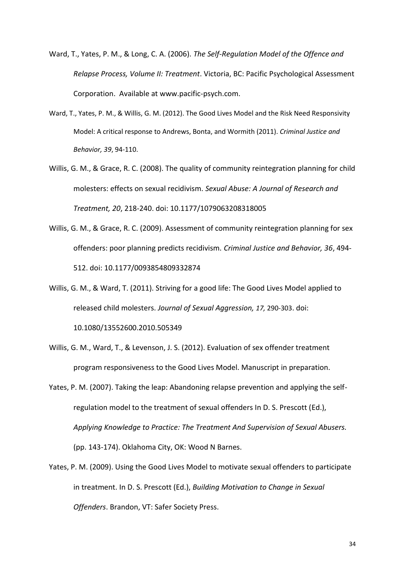- Ward, T., Yates, P. M., & Long, C. A. (2006). *The Self-Regulation Model of the Offence and Relapse Process, Volume II: Treatment*. Victoria, BC: Pacific Psychological Assessment Corporation. Available at www.pacific-psych.com.
- Ward, T., Yates, P. M., & Willis, G. M. (2012). The Good Lives Model and the Risk Need Responsivity Model: A critical response to Andrews, Bonta, and Wormith (2011). *Criminal Justice and Behavior, 39*, 94-110.
- Willis, G. M., & Grace, R. C. (2008). The quality of community reintegration planning for child molesters: effects on sexual recidivism. *Sexual Abuse: A Journal of Research and Treatment, 20*, 218-240. doi: 10.1177/1079063208318005
- Willis, G. M., & Grace, R. C. (2009). Assessment of community reintegration planning for sex offenders: poor planning predicts recidivism. *Criminal Justice and Behavior, 36*, 494- 512. doi: 10.1177/0093854809332874
- Willis, G. M., & Ward, T. (2011). Striving for a good life: The Good Lives Model applied to released child molesters. *Journal of Sexual Aggression, 17,* 290-303. doi: 10.1080/13552600.2010.505349
- Willis, G. M., Ward, T., & Levenson, J. S. (2012). Evaluation of sex offender treatment program responsiveness to the Good Lives Model. Manuscript in preparation.
- Yates, P. M. (2007). Taking the leap: Abandoning relapse prevention and applying the selfregulation model to the treatment of sexual offenders In D. S. Prescott (Ed.), *Applying Knowledge to Practice: The Treatment And Supervision of Sexual Abusers.*  (pp. 143-174). Oklahoma City, OK: Wood N Barnes.
- Yates, P. M. (2009). Using the Good Lives Model to motivate sexual offenders to participate in treatment. In D. S. Prescott (Ed.), *Building Motivation to Change in Sexual Offenders*. Brandon, VT: Safer Society Press.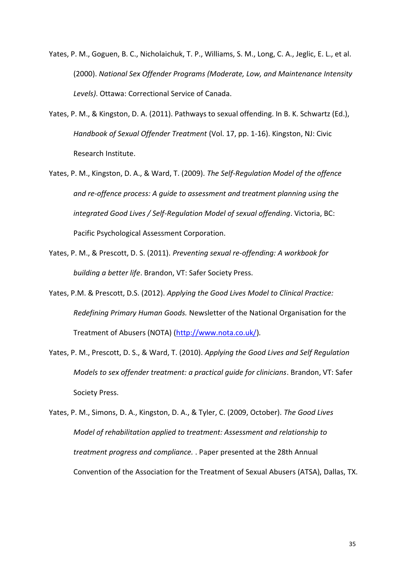- Yates, P. M., Goguen, B. C., Nicholaichuk, T. P., Williams, S. M., Long, C. A., Jeglic, E. L., et al. (2000). *National Sex Offender Programs (Moderate, Low, and Maintenance Intensity Levels)*. Ottawa: Correctional Service of Canada.
- Yates, P. M., & Kingston, D. A. (2011). Pathways to sexual offending. In B. K. Schwartz (Ed.), *Handbook of Sexual Offender Treatment* (Vol. 17, pp. 1-16). Kingston, NJ: Civic Research Institute.
- Yates, P. M., Kingston, D. A., & Ward, T. (2009). *The Self-Regulation Model of the offence and re-offence process: A guide to assessment and treatment planning using the integrated Good Lives / Self-Regulation Model of sexual offending*. Victoria, BC: Pacific Psychological Assessment Corporation.
- Yates, P. M., & Prescott, D. S. (2011). *Preventing sexual re-offending: A workbook for building a better life*. Brandon, VT: Safer Society Press.
- Yates, P.M. & Prescott, D.S. (2012). *Applying the Good Lives Model to Clinical Practice: Redefining Primary Human Goods.* Newsletter of the National Organisation for the Treatment of Abusers (NOTA) [\(http://www.nota.co.uk/\)](http://www.nota.co.uk/)*.*
- Yates, P. M., Prescott, D. S., & Ward, T. (2010). *Applying the Good Lives and Self Regulation Models to sex offender treatment: a practical guide for clinicians*. Brandon, VT: Safer Society Press.
- Yates, P. M., Simons, D. A., Kingston, D. A., & Tyler, C. (2009, October). *The Good Lives Model of rehabilitation applied to treatment: Assessment and relationship to treatment progress and compliance.* . Paper presented at the 28th Annual Convention of the Association for the Treatment of Sexual Abusers (ATSA), Dallas, TX.